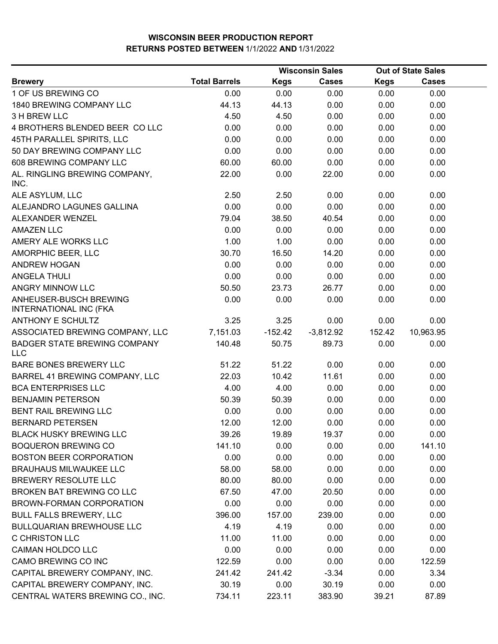|                                                         |                      |             | <b>Wisconsin Sales</b> |             | <b>Out of State Sales</b> |  |
|---------------------------------------------------------|----------------------|-------------|------------------------|-------------|---------------------------|--|
| <b>Brewery</b>                                          | <b>Total Barrels</b> | <b>Kegs</b> | <b>Cases</b>           | <b>Kegs</b> | <b>Cases</b>              |  |
| 1 OF US BREWING CO                                      | 0.00                 | 0.00        | 0.00                   | 0.00        | 0.00                      |  |
| 1840 BREWING COMPANY LLC                                | 44.13                | 44.13       | 0.00                   | 0.00        | 0.00                      |  |
| 3 H BREW LLC                                            | 4.50                 | 4.50        | 0.00                   | 0.00        | 0.00                      |  |
| 4 BROTHERS BLENDED BEER CO LLC                          | 0.00                 | 0.00        | 0.00                   | 0.00        | 0.00                      |  |
| 45TH PARALLEL SPIRITS, LLC                              | 0.00                 | 0.00        | 0.00                   | 0.00        | 0.00                      |  |
| 50 DAY BREWING COMPANY LLC                              | 0.00                 | 0.00        | 0.00                   | 0.00        | 0.00                      |  |
| 608 BREWING COMPANY LLC                                 | 60.00                | 60.00       | 0.00                   | 0.00        | 0.00                      |  |
| AL. RINGLING BREWING COMPANY,<br>INC.                   | 22.00                | 0.00        | 22.00                  | 0.00        | 0.00                      |  |
| ALE ASYLUM, LLC                                         | 2.50                 | 2.50        | 0.00                   | 0.00        | 0.00                      |  |
| ALEJANDRO LAGUNES GALLINA                               | 0.00                 | 0.00        | 0.00                   | 0.00        | 0.00                      |  |
| ALEXANDER WENZEL                                        | 79.04                | 38.50       | 40.54                  | 0.00        | 0.00                      |  |
| <b>AMAZEN LLC</b>                                       | 0.00                 | 0.00        | 0.00                   | 0.00        | 0.00                      |  |
| AMERY ALE WORKS LLC                                     | 1.00                 | 1.00        | 0.00                   | 0.00        | 0.00                      |  |
| AMORPHIC BEER, LLC                                      | 30.70                | 16.50       | 14.20                  | 0.00        | 0.00                      |  |
| <b>ANDREW HOGAN</b>                                     | 0.00                 | 0.00        | 0.00                   | 0.00        | 0.00                      |  |
| <b>ANGELA THULI</b>                                     | 0.00                 | 0.00        | 0.00                   | 0.00        | 0.00                      |  |
| ANGRY MINNOW LLC                                        | 50.50                | 23.73       | 26.77                  | 0.00        | 0.00                      |  |
| ANHEUSER-BUSCH BREWING<br><b>INTERNATIONAL INC (FKA</b> | 0.00                 | 0.00        | 0.00                   | 0.00        | 0.00                      |  |
| ANTHONY E SCHULTZ                                       | 3.25                 | 3.25        | 0.00                   | 0.00        | 0.00                      |  |
| ASSOCIATED BREWING COMPANY, LLC                         | 7,151.03             | $-152.42$   | $-3,812.92$            | 152.42      | 10,963.95                 |  |
| <b>BADGER STATE BREWING COMPANY</b><br><b>LLC</b>       | 140.48               | 50.75       | 89.73                  | 0.00        | 0.00                      |  |
| BARE BONES BREWERY LLC                                  | 51.22                | 51.22       | 0.00                   | 0.00        | 0.00                      |  |
| BARREL 41 BREWING COMPANY, LLC                          | 22.03                | 10.42       | 11.61                  | 0.00        | 0.00                      |  |
| <b>BCA ENTERPRISES LLC</b>                              | 4.00                 | 4.00        | 0.00                   | 0.00        | 0.00                      |  |
| <b>BENJAMIN PETERSON</b>                                | 50.39                | 50.39       | 0.00                   | 0.00        | 0.00                      |  |
| BENT RAIL BREWING LLC                                   | 0.00                 | 0.00        | 0.00                   | 0.00        | 0.00                      |  |
| <b>BERNARD PETERSEN</b>                                 | 12.00                | 12.00       | 0.00                   | 0.00        | 0.00                      |  |
| <b>BLACK HUSKY BREWING LLC</b>                          | 39.26                | 19.89       | 19.37                  | 0.00        | 0.00                      |  |
| <b>BOQUERON BREWING CO</b>                              | 141.10               | 0.00        | 0.00                   | 0.00        | 141.10                    |  |
| <b>BOSTON BEER CORPORATION</b>                          | 0.00                 | 0.00        | 0.00                   | 0.00        | 0.00                      |  |
| <b>BRAUHAUS MILWAUKEE LLC</b>                           | 58.00                | 58.00       | 0.00                   | 0.00        | 0.00                      |  |
| BREWERY RESOLUTE LLC                                    | 80.00                | 80.00       | 0.00                   | 0.00        | 0.00                      |  |
| BROKEN BAT BREWING CO LLC                               | 67.50                | 47.00       | 20.50                  | 0.00        | 0.00                      |  |
| BROWN-FORMAN CORPORATION                                | 0.00                 | 0.00        | 0.00                   | 0.00        | 0.00                      |  |
| <b>BULL FALLS BREWERY, LLC</b>                          | 396.00               | 157.00      | 239.00                 | 0.00        | 0.00                      |  |
| <b>BULLQUARIAN BREWHOUSE LLC</b>                        | 4.19                 | 4.19        | 0.00                   | 0.00        | 0.00                      |  |
| <b>C CHRISTON LLC</b>                                   | 11.00                | 11.00       | 0.00                   | 0.00        | 0.00                      |  |
| CAIMAN HOLDCO LLC                                       | 0.00                 | 0.00        | 0.00                   | 0.00        | 0.00                      |  |
| CAMO BREWING CO INC                                     | 122.59               | 0.00        | 0.00                   | 0.00        | 122.59                    |  |
| CAPITAL BREWERY COMPANY, INC.                           | 241.42               | 241.42      | $-3.34$                | 0.00        | 3.34                      |  |
| CAPITAL BREWERY COMPANY, INC.                           | 30.19                | 0.00        | 30.19                  | 0.00        | 0.00                      |  |
| CENTRAL WATERS BREWING CO., INC.                        | 734.11               | 223.11      | 383.90                 | 39.21       | 87.89                     |  |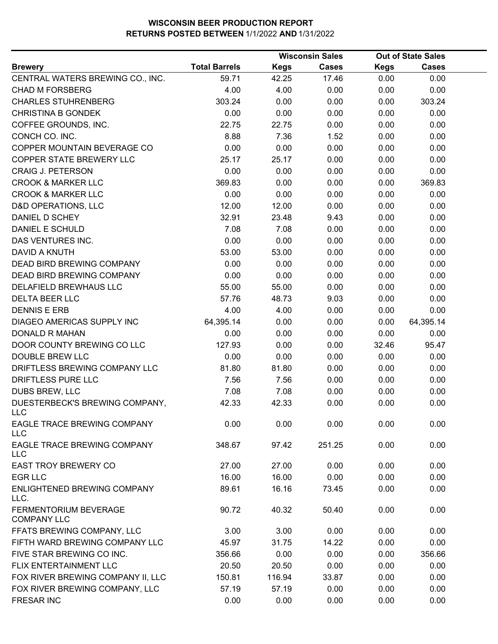|                                                  |                      |             | <b>Wisconsin Sales</b> |             | <b>Out of State Sales</b> |  |
|--------------------------------------------------|----------------------|-------------|------------------------|-------------|---------------------------|--|
| <b>Brewery</b>                                   | <b>Total Barrels</b> | <b>Kegs</b> | <b>Cases</b>           | <b>Kegs</b> | <b>Cases</b>              |  |
| CENTRAL WATERS BREWING CO., INC.                 | 59.71                | 42.25       | 17.46                  | 0.00        | 0.00                      |  |
| <b>CHAD M FORSBERG</b>                           | 4.00                 | 4.00        | 0.00                   | 0.00        | 0.00                      |  |
| <b>CHARLES STUHRENBERG</b>                       | 303.24               | 0.00        | 0.00                   | 0.00        | 303.24                    |  |
| <b>CHRISTINA B GONDEK</b>                        | 0.00                 | 0.00        | 0.00                   | 0.00        | 0.00                      |  |
| COFFEE GROUNDS, INC.                             | 22.75                | 22.75       | 0.00                   | 0.00        | 0.00                      |  |
| CONCH CO. INC.                                   | 8.88                 | 7.36        | 1.52                   | 0.00        | 0.00                      |  |
| COPPER MOUNTAIN BEVERAGE CO                      | 0.00                 | 0.00        | 0.00                   | 0.00        | 0.00                      |  |
| COPPER STATE BREWERY LLC                         | 25.17                | 25.17       | 0.00                   | 0.00        | 0.00                      |  |
| <b>CRAIG J. PETERSON</b>                         | 0.00                 | 0.00        | 0.00                   | 0.00        | 0.00                      |  |
| <b>CROOK &amp; MARKER LLC</b>                    | 369.83               | 0.00        | 0.00                   | 0.00        | 369.83                    |  |
| <b>CROOK &amp; MARKER LLC</b>                    | 0.00                 | 0.00        | 0.00                   | 0.00        | 0.00                      |  |
| D&D OPERATIONS, LLC                              | 12.00                | 12.00       | 0.00                   | 0.00        | 0.00                      |  |
| DANIEL D SCHEY                                   | 32.91                | 23.48       | 9.43                   | 0.00        | 0.00                      |  |
| <b>DANIEL E SCHULD</b>                           | 7.08                 | 7.08        | 0.00                   | 0.00        | 0.00                      |  |
| DAS VENTURES INC.                                | 0.00                 | 0.00        | 0.00                   | 0.00        | 0.00                      |  |
| DAVID A KNUTH                                    | 53.00                | 53.00       | 0.00                   | 0.00        | 0.00                      |  |
| <b>DEAD BIRD BREWING COMPANY</b>                 | 0.00                 | 0.00        | 0.00                   | 0.00        | 0.00                      |  |
| DEAD BIRD BREWING COMPANY                        | 0.00                 | 0.00        | 0.00                   | 0.00        | 0.00                      |  |
| DELAFIELD BREWHAUS LLC                           | 55.00                | 55.00       | 0.00                   | 0.00        | 0.00                      |  |
| <b>DELTA BEER LLC</b>                            | 57.76                | 48.73       | 9.03                   | 0.00        | 0.00                      |  |
| <b>DENNIS E ERB</b>                              | 4.00                 | 4.00        | 0.00                   | 0.00        | 0.00                      |  |
| DIAGEO AMERICAS SUPPLY INC                       | 64,395.14            | 0.00        | 0.00                   | 0.00        | 64,395.14                 |  |
| <b>DONALD R MAHAN</b>                            | 0.00                 | 0.00        | 0.00                   | 0.00        | 0.00                      |  |
| DOOR COUNTY BREWING CO LLC                       | 127.93               | 0.00        | 0.00                   | 32.46       | 95.47                     |  |
| DOUBLE BREW LLC                                  | 0.00                 | 0.00        | 0.00                   | 0.00        | 0.00                      |  |
| DRIFTLESS BREWING COMPANY LLC                    | 81.80                | 81.80       | 0.00                   | 0.00        | 0.00                      |  |
| DRIFTLESS PURE LLC                               | 7.56                 | 7.56        | 0.00                   | 0.00        | 0.00                      |  |
| <b>DUBS BREW, LLC</b>                            | 7.08                 | 7.08        | 0.00                   | 0.00        | 0.00                      |  |
| DUESTERBECK'S BREWING COMPANY,<br>LLC            | 42.33                | 42.33       | 0.00                   | 0.00        | 0.00                      |  |
| <b>EAGLE TRACE BREWING COMPANY</b><br><b>LLC</b> | 0.00                 | 0.00        | 0.00                   | 0.00        | 0.00                      |  |
| EAGLE TRACE BREWING COMPANY<br>LLC               | 348.67               | 97.42       | 251.25                 | 0.00        | 0.00                      |  |
| <b>EAST TROY BREWERY CO</b>                      | 27.00                | 27.00       | 0.00                   | 0.00        | 0.00                      |  |
| <b>EGR LLC</b>                                   | 16.00                | 16.00       | 0.00                   | 0.00        | 0.00                      |  |
| ENLIGHTENED BREWING COMPANY<br>LLC.              | 89.61                | 16.16       | 73.45                  | 0.00        | 0.00                      |  |
| FERMENTORIUM BEVERAGE<br><b>COMPANY LLC</b>      | 90.72                | 40.32       | 50.40                  | 0.00        | 0.00                      |  |
| FFATS BREWING COMPANY, LLC                       | 3.00                 | 3.00        | 0.00                   | 0.00        | 0.00                      |  |
| FIFTH WARD BREWING COMPANY LLC                   | 45.97                | 31.75       | 14.22                  | 0.00        | 0.00                      |  |
| FIVE STAR BREWING CO INC.                        | 356.66               | 0.00        | 0.00                   | 0.00        | 356.66                    |  |
| FLIX ENTERTAINMENT LLC                           | 20.50                | 20.50       | 0.00                   | 0.00        | 0.00                      |  |
| FOX RIVER BREWING COMPANY II, LLC                | 150.81               | 116.94      | 33.87                  | 0.00        | 0.00                      |  |
| FOX RIVER BREWING COMPANY, LLC                   | 57.19                | 57.19       | 0.00                   | 0.00        | 0.00                      |  |
| <b>FRESAR INC</b>                                | 0.00                 | 0.00        | 0.00                   | 0.00        | 0.00                      |  |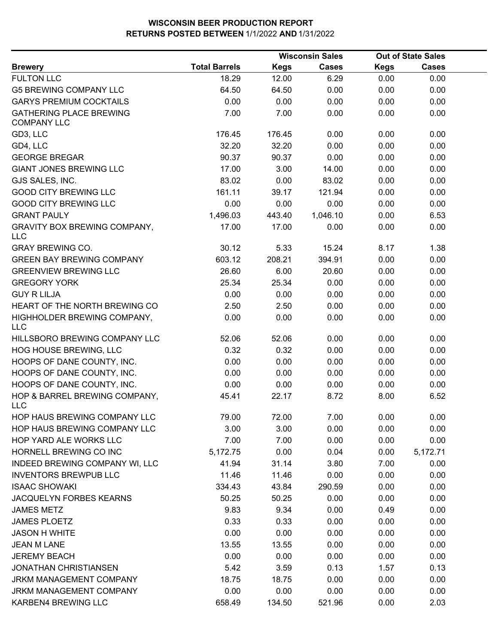|                                                      |                      |             | <b>Wisconsin Sales</b> |             | <b>Out of State Sales</b> |  |
|------------------------------------------------------|----------------------|-------------|------------------------|-------------|---------------------------|--|
| <b>Brewery</b>                                       | <b>Total Barrels</b> | <b>Kegs</b> | <b>Cases</b>           | <b>Kegs</b> | <b>Cases</b>              |  |
| <b>FULTON LLC</b>                                    | 18.29                | 12.00       | 6.29                   | 0.00        | 0.00                      |  |
| <b>G5 BREWING COMPANY LLC</b>                        | 64.50                | 64.50       | 0.00                   | 0.00        | 0.00                      |  |
| <b>GARYS PREMIUM COCKTAILS</b>                       | 0.00                 | 0.00        | 0.00                   | 0.00        | 0.00                      |  |
| <b>GATHERING PLACE BREWING</b><br><b>COMPANY LLC</b> | 7.00                 | 7.00        | 0.00                   | 0.00        | 0.00                      |  |
| GD3, LLC                                             | 176.45               | 176.45      | 0.00                   | 0.00        | 0.00                      |  |
| GD4, LLC                                             | 32.20                | 32.20       | 0.00                   | 0.00        | 0.00                      |  |
| <b>GEORGE BREGAR</b>                                 | 90.37                | 90.37       | 0.00                   | 0.00        | 0.00                      |  |
| <b>GIANT JONES BREWING LLC</b>                       | 17.00                | 3.00        | 14.00                  | 0.00        | 0.00                      |  |
| GJS SALES, INC.                                      | 83.02                | 0.00        | 83.02                  | 0.00        | 0.00                      |  |
| <b>GOOD CITY BREWING LLC</b>                         | 161.11               | 39.17       | 121.94                 | 0.00        | 0.00                      |  |
| <b>GOOD CITY BREWING LLC</b>                         | 0.00                 | 0.00        | 0.00                   | 0.00        | 0.00                      |  |
| <b>GRANT PAULY</b>                                   | 1,496.03             | 443.40      | 1,046.10               | 0.00        | 6.53                      |  |
| <b>GRAVITY BOX BREWING COMPANY,</b><br><b>LLC</b>    | 17.00                | 17.00       | 0.00                   | 0.00        | 0.00                      |  |
| <b>GRAY BREWING CO.</b>                              | 30.12                | 5.33        | 15.24                  | 8.17        | 1.38                      |  |
| <b>GREEN BAY BREWING COMPANY</b>                     | 603.12               | 208.21      | 394.91                 | 0.00        | 0.00                      |  |
| <b>GREENVIEW BREWING LLC</b>                         | 26.60                | 6.00        | 20.60                  | 0.00        | 0.00                      |  |
| <b>GREGORY YORK</b>                                  | 25.34                | 25.34       | 0.00                   | 0.00        | 0.00                      |  |
| <b>GUY R LILJA</b>                                   | 0.00                 | 0.00        | 0.00                   | 0.00        | 0.00                      |  |
| HEART OF THE NORTH BREWING CO                        | 2.50                 | 2.50        | 0.00                   | 0.00        | 0.00                      |  |
| HIGHHOLDER BREWING COMPANY,<br><b>LLC</b>            | 0.00                 | 0.00        | 0.00                   | 0.00        | 0.00                      |  |
| HILLSBORO BREWING COMPANY LLC                        | 52.06                | 52.06       | 0.00                   | 0.00        | 0.00                      |  |
| HOG HOUSE BREWING, LLC                               | 0.32                 | 0.32        | 0.00                   | 0.00        | 0.00                      |  |
| HOOPS OF DANE COUNTY, INC.                           | 0.00                 | 0.00        | 0.00                   | 0.00        | 0.00                      |  |
| HOOPS OF DANE COUNTY, INC.                           | 0.00                 | 0.00        | 0.00                   | 0.00        | 0.00                      |  |
| HOOPS OF DANE COUNTY, INC.                           | 0.00                 | 0.00        | 0.00                   | 0.00        | 0.00                      |  |
| HOP & BARREL BREWING COMPANY,<br><b>LLC</b>          | 45.41                | 22.17       | 8.72                   | 8.00        | 6.52                      |  |
| HOP HAUS BREWING COMPANY LLC                         | 79.00                | 72.00       | 7.00                   | 0.00        | 0.00                      |  |
| HOP HAUS BREWING COMPANY LLC                         | 3.00                 | 3.00        | 0.00                   | 0.00        | 0.00                      |  |
| HOP YARD ALE WORKS LLC                               | 7.00                 | 7.00        | 0.00                   | 0.00        | 0.00                      |  |
| HORNELL BREWING CO INC                               | 5,172.75             | 0.00        | 0.04                   | 0.00        | 5,172.71                  |  |
| INDEED BREWING COMPANY WI, LLC                       | 41.94                | 31.14       | 3.80                   | 7.00        | 0.00                      |  |
| <b>INVENTORS BREWPUB LLC</b>                         | 11.46                | 11.46       | 0.00                   | 0.00        | 0.00                      |  |
| <b>ISAAC SHOWAKI</b>                                 | 334.43               | 43.84       | 290.59                 | 0.00        | 0.00                      |  |
| JACQUELYN FORBES KEARNS                              | 50.25                | 50.25       | 0.00                   | 0.00        | 0.00                      |  |
| <b>JAMES METZ</b>                                    | 9.83                 | 9.34        | 0.00                   | 0.49        | 0.00                      |  |
| <b>JAMES PLOETZ</b>                                  | 0.33                 | 0.33        | 0.00                   | 0.00        | 0.00                      |  |
| <b>JASON H WHITE</b>                                 | 0.00                 | 0.00        | 0.00                   | 0.00        | 0.00                      |  |
| <b>JEAN M LANE</b>                                   | 13.55                | 13.55       | 0.00                   | 0.00        | 0.00                      |  |
| <b>JEREMY BEACH</b>                                  | 0.00                 | 0.00        | 0.00                   | 0.00        | 0.00                      |  |
| <b>JONATHAN CHRISTIANSEN</b>                         | 5.42                 | 3.59        | 0.13                   | 1.57        | 0.13                      |  |
| <b>JRKM MANAGEMENT COMPANY</b>                       | 18.75                | 18.75       | 0.00                   | 0.00        | 0.00                      |  |
| JRKM MANAGEMENT COMPANY                              | 0.00                 | 0.00        | 0.00                   | 0.00        | 0.00                      |  |
| KARBEN4 BREWING LLC                                  | 658.49               | 134.50      | 521.96                 | 0.00        | 2.03                      |  |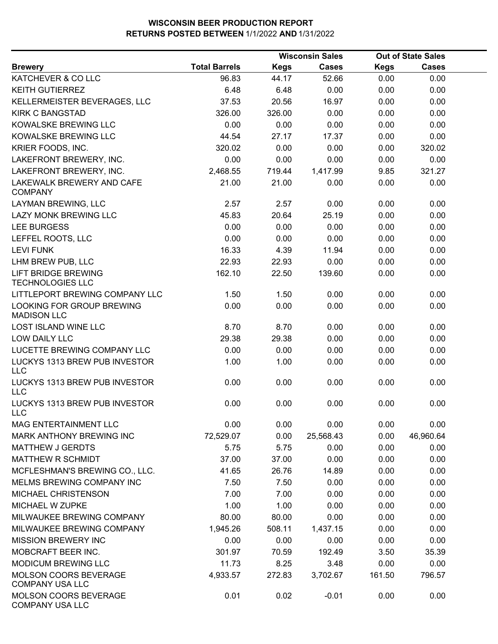|                                                       |                      |             | <b>Wisconsin Sales</b> |             | <b>Out of State Sales</b> |  |
|-------------------------------------------------------|----------------------|-------------|------------------------|-------------|---------------------------|--|
| <b>Brewery</b>                                        | <b>Total Barrels</b> | <b>Kegs</b> | <b>Cases</b>           | <b>Kegs</b> | <b>Cases</b>              |  |
| KATCHEVER & CO LLC                                    | 96.83                | 44.17       | 52.66                  | 0.00        | 0.00                      |  |
| <b>KEITH GUTIERREZ</b>                                | 6.48                 | 6.48        | 0.00                   | 0.00        | 0.00                      |  |
| KELLERMEISTER BEVERAGES, LLC                          | 37.53                | 20.56       | 16.97                  | 0.00        | 0.00                      |  |
| <b>KIRK C BANGSTAD</b>                                | 326.00               | 326.00      | 0.00                   | 0.00        | 0.00                      |  |
| KOWALSKE BREWING LLC                                  | 0.00                 | 0.00        | 0.00                   | 0.00        | 0.00                      |  |
| KOWALSKE BREWING LLC                                  | 44.54                | 27.17       | 17.37                  | 0.00        | 0.00                      |  |
| KRIER FOODS, INC.                                     | 320.02               | 0.00        | 0.00                   | 0.00        | 320.02                    |  |
| LAKEFRONT BREWERY, INC.                               | 0.00                 | 0.00        | 0.00                   | 0.00        | 0.00                      |  |
| LAKEFRONT BREWERY, INC.                               | 2,468.55             | 719.44      | 1,417.99               | 9.85        | 321.27                    |  |
| LAKEWALK BREWERY AND CAFE<br><b>COMPANY</b>           | 21.00                | 21.00       | 0.00                   | 0.00        | 0.00                      |  |
| LAYMAN BREWING, LLC                                   | 2.57                 | 2.57        | 0.00                   | 0.00        | 0.00                      |  |
| <b>LAZY MONK BREWING LLC</b>                          | 45.83                | 20.64       | 25.19                  | 0.00        | 0.00                      |  |
| <b>LEE BURGESS</b>                                    | 0.00                 | 0.00        | 0.00                   | 0.00        | 0.00                      |  |
| LEFFEL ROOTS, LLC                                     | 0.00                 | 0.00        | 0.00                   | 0.00        | 0.00                      |  |
| <b>LEVI FUNK</b>                                      | 16.33                | 4.39        | 11.94                  | 0.00        | 0.00                      |  |
| LHM BREW PUB, LLC                                     | 22.93                | 22.93       | 0.00                   | 0.00        | 0.00                      |  |
| <b>LIFT BRIDGE BREWING</b><br><b>TECHNOLOGIES LLC</b> | 162.10               | 22.50       | 139.60                 | 0.00        | 0.00                      |  |
| LITTLEPORT BREWING COMPANY LLC                        | 1.50                 | 1.50        | 0.00                   | 0.00        | 0.00                      |  |
| LOOKING FOR GROUP BREWING<br><b>MADISON LLC</b>       | 0.00                 | 0.00        | 0.00                   | 0.00        | 0.00                      |  |
| <b>LOST ISLAND WINE LLC</b>                           | 8.70                 | 8.70        | 0.00                   | 0.00        | 0.00                      |  |
| LOW DAILY LLC                                         | 29.38                | 29.38       | 0.00                   | 0.00        | 0.00                      |  |
| LUCETTE BREWING COMPANY LLC                           | 0.00                 | 0.00        | 0.00                   | 0.00        | 0.00                      |  |
| LUCKYS 1313 BREW PUB INVESTOR<br><b>LLC</b>           | 1.00                 | 1.00        | 0.00                   | 0.00        | 0.00                      |  |
| LUCKYS 1313 BREW PUB INVESTOR<br><b>LLC</b>           | 0.00                 | 0.00        | 0.00                   | 0.00        | 0.00                      |  |
| <b>LUCKYS 1313 BREW PUB INVESTOR</b><br>LLC           | 0.00                 | 0.00        | 0.00                   | 0.00        | 0.00                      |  |
| MAG ENTERTAINMENT LLC                                 | 0.00                 | 0.00        | 0.00                   | 0.00        | 0.00                      |  |
| MARK ANTHONY BREWING INC                              | 72,529.07            | 0.00        | 25,568.43              | 0.00        | 46,960.64                 |  |
| <b>MATTHEW J GERDTS</b>                               | 5.75                 | 5.75        | 0.00                   | 0.00        | 0.00                      |  |
| <b>MATTHEW R SCHMIDT</b>                              | 37.00                | 37.00       | 0.00                   | 0.00        | 0.00                      |  |
| MCFLESHMAN'S BREWING CO., LLC.                        | 41.65                | 26.76       | 14.89                  | 0.00        | 0.00                      |  |
| MELMS BREWING COMPANY INC                             | 7.50                 | 7.50        | 0.00                   | 0.00        | 0.00                      |  |
| MICHAEL CHRISTENSON                                   | 7.00                 | 7.00        | 0.00                   | 0.00        | 0.00                      |  |
| MICHAEL W ZUPKE                                       | 1.00                 | 1.00        | 0.00                   | 0.00        | 0.00                      |  |
| MILWAUKEE BREWING COMPANY                             | 80.00                | 80.00       | 0.00                   | 0.00        | 0.00                      |  |
| MILWAUKEE BREWING COMPANY                             | 1,945.26             | 508.11      | 1,437.15               | 0.00        | 0.00                      |  |
| <b>MISSION BREWERY INC</b>                            | 0.00                 | 0.00        | 0.00                   | 0.00        | 0.00                      |  |
| MOBCRAFT BEER INC.                                    | 301.97               | 70.59       | 192.49                 | 3.50        | 35.39                     |  |
| <b>MODICUM BREWING LLC</b>                            | 11.73                | 8.25        | 3.48                   | 0.00        | 0.00                      |  |
| MOLSON COORS BEVERAGE<br><b>COMPANY USA LLC</b>       | 4,933.57             | 272.83      | 3,702.67               | 161.50      | 796.57                    |  |
| MOLSON COORS BEVERAGE<br><b>COMPANY USA LLC</b>       | 0.01                 | 0.02        | $-0.01$                | 0.00        | 0.00                      |  |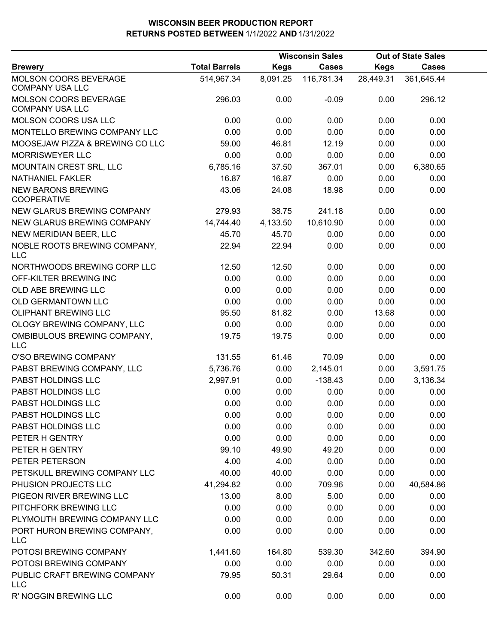|                                                 |                      |             | <b>Wisconsin Sales</b> |             | <b>Out of State Sales</b> |  |
|-------------------------------------------------|----------------------|-------------|------------------------|-------------|---------------------------|--|
| <b>Brewery</b>                                  | <b>Total Barrels</b> | <b>Kegs</b> | <b>Cases</b>           | <b>Kegs</b> | <b>Cases</b>              |  |
| MOLSON COORS BEVERAGE<br><b>COMPANY USA LLC</b> | 514,967.34           | 8,091.25    | 116,781.34             | 28,449.31   | 361,645.44                |  |
| MOLSON COORS BEVERAGE<br><b>COMPANY USA LLC</b> | 296.03               | 0.00        | $-0.09$                | 0.00        | 296.12                    |  |
| MOLSON COORS USA LLC                            | 0.00                 | 0.00        | 0.00                   | 0.00        | 0.00                      |  |
| MONTELLO BREWING COMPANY LLC                    | 0.00                 | 0.00        | 0.00                   | 0.00        | 0.00                      |  |
| MOOSEJAW PIZZA & BREWING CO LLC                 | 59.00                | 46.81       | 12.19                  | 0.00        | 0.00                      |  |
| <b>MORRISWEYER LLC</b>                          | 0.00                 | 0.00        | 0.00                   | 0.00        | 0.00                      |  |
| MOUNTAIN CREST SRL, LLC                         | 6,785.16             | 37.50       | 367.01                 | 0.00        | 6,380.65                  |  |
| <b>NATHANIEL FAKLER</b>                         | 16.87                | 16.87       | 0.00                   | 0.00        | 0.00                      |  |
| <b>NEW BARONS BREWING</b><br><b>COOPERATIVE</b> | 43.06                | 24.08       | 18.98                  | 0.00        | 0.00                      |  |
| NEW GLARUS BREWING COMPANY                      | 279.93               | 38.75       | 241.18                 | 0.00        | 0.00                      |  |
| NEW GLARUS BREWING COMPANY                      | 14,744.40            | 4,133.50    | 10,610.90              | 0.00        | 0.00                      |  |
| NEW MERIDIAN BEER, LLC                          | 45.70                | 45.70       | 0.00                   | 0.00        | 0.00                      |  |
| NOBLE ROOTS BREWING COMPANY,<br><b>LLC</b>      | 22.94                | 22.94       | 0.00                   | 0.00        | 0.00                      |  |
| NORTHWOODS BREWING CORP LLC                     | 12.50                | 12.50       | 0.00                   | 0.00        | 0.00                      |  |
| OFF-KILTER BREWING INC                          | 0.00                 | 0.00        | 0.00                   | 0.00        | 0.00                      |  |
| OLD ABE BREWING LLC                             | 0.00                 | 0.00        | 0.00                   | 0.00        | 0.00                      |  |
| OLD GERMANTOWN LLC                              | 0.00                 | 0.00        | 0.00                   | 0.00        | 0.00                      |  |
| <b>OLIPHANT BREWING LLC</b>                     | 95.50                | 81.82       | 0.00                   | 13.68       | 0.00                      |  |
| OLOGY BREWING COMPANY, LLC                      | 0.00                 | 0.00        | 0.00                   | 0.00        | 0.00                      |  |
| OMBIBULOUS BREWING COMPANY,<br><b>LLC</b>       | 19.75                | 19.75       | 0.00                   | 0.00        | 0.00                      |  |
| O'SO BREWING COMPANY                            | 131.55               | 61.46       | 70.09                  | 0.00        | 0.00                      |  |
| PABST BREWING COMPANY, LLC                      | 5,736.76             | 0.00        | 2,145.01               | 0.00        | 3,591.75                  |  |
| PABST HOLDINGS LLC                              | 2,997.91             | 0.00        | $-138.43$              | 0.00        | 3,136.34                  |  |
| PABST HOLDINGS LLC                              | 0.00                 | 0.00        | 0.00                   | 0.00        | 0.00                      |  |
| PABST HOLDINGS LLC                              | 0.00                 | 0.00        | 0.00                   | 0.00        | 0.00                      |  |
| PABST HOLDINGS LLC                              | 0.00                 | 0.00        | 0.00                   | 0.00        | 0.00                      |  |
| PABST HOLDINGS LLC                              | 0.00                 | 0.00        | 0.00                   | 0.00        | 0.00                      |  |
| PETER H GENTRY                                  | 0.00                 | 0.00        | 0.00                   | 0.00        | 0.00                      |  |
| PETER H GENTRY                                  | 99.10                | 49.90       | 49.20                  | 0.00        | 0.00                      |  |
| PETER PETERSON                                  | 4.00                 | 4.00        | 0.00                   | 0.00        | 0.00                      |  |
| PETSKULL BREWING COMPANY LLC                    | 40.00                | 40.00       | 0.00                   | 0.00        | 0.00                      |  |
| PHUSION PROJECTS LLC                            | 41,294.82            | 0.00        | 709.96                 | 0.00        | 40,584.86                 |  |
| PIGEON RIVER BREWING LLC                        | 13.00                | 8.00        | 5.00                   | 0.00        | 0.00                      |  |
| PITCHFORK BREWING LLC                           | 0.00                 | 0.00        | 0.00                   | 0.00        | 0.00                      |  |
| PLYMOUTH BREWING COMPANY LLC                    | 0.00                 | 0.00        | 0.00                   | 0.00        | 0.00                      |  |
| PORT HURON BREWING COMPANY,<br><b>LLC</b>       | 0.00                 | 0.00        | 0.00                   | 0.00        | 0.00                      |  |
| POTOSI BREWING COMPANY                          | 1,441.60             | 164.80      | 539.30                 | 342.60      | 394.90                    |  |
| POTOSI BREWING COMPANY                          | 0.00                 | 0.00        | 0.00                   | 0.00        | 0.00                      |  |
| PUBLIC CRAFT BREWING COMPANY<br><b>LLC</b>      | 79.95                | 50.31       | 29.64                  | 0.00        | 0.00                      |  |
| R' NOGGIN BREWING LLC                           | 0.00                 | 0.00        | 0.00                   | 0.00        | 0.00                      |  |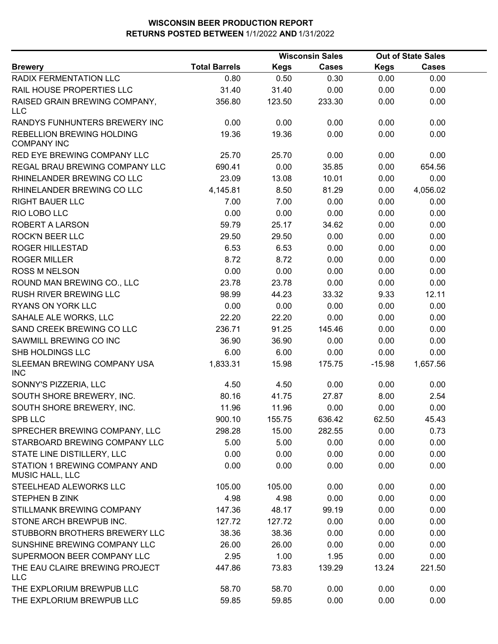|                                                        |                      |             | <b>Wisconsin Sales</b> |             | <b>Out of State Sales</b> |  |
|--------------------------------------------------------|----------------------|-------------|------------------------|-------------|---------------------------|--|
| <b>Brewery</b>                                         | <b>Total Barrels</b> | <b>Kegs</b> | <b>Cases</b>           | <b>Kegs</b> | <b>Cases</b>              |  |
| RADIX FERMENTATION LLC                                 | 0.80                 | 0.50        | 0.30                   | 0.00        | 0.00                      |  |
| RAIL HOUSE PROPERTIES LLC                              | 31.40                | 31.40       | 0.00                   | 0.00        | 0.00                      |  |
| RAISED GRAIN BREWING COMPANY,<br><b>LLC</b>            | 356.80               | 123.50      | 233.30                 | 0.00        | 0.00                      |  |
| RANDYS FUNHUNTERS BREWERY INC                          | 0.00                 | 0.00        | 0.00                   | 0.00        | 0.00                      |  |
| <b>REBELLION BREWING HOLDING</b><br><b>COMPANY INC</b> | 19.36                | 19.36       | 0.00                   | 0.00        | 0.00                      |  |
| RED EYE BREWING COMPANY LLC                            | 25.70                | 25.70       | 0.00                   | 0.00        | 0.00                      |  |
| REGAL BRAU BREWING COMPANY LLC                         | 690.41               | 0.00        | 35.85                  | 0.00        | 654.56                    |  |
| RHINELANDER BREWING CO LLC                             | 23.09                | 13.08       | 10.01                  | 0.00        | 0.00                      |  |
| RHINELANDER BREWING CO LLC                             | 4,145.81             | 8.50        | 81.29                  | 0.00        | 4,056.02                  |  |
| <b>RIGHT BAUER LLC</b>                                 | 7.00                 | 7.00        | 0.00                   | 0.00        | 0.00                      |  |
| RIO LOBO LLC                                           | 0.00                 | 0.00        | 0.00                   | 0.00        | 0.00                      |  |
| ROBERT A LARSON                                        | 59.79                | 25.17       | 34.62                  | 0.00        | 0.00                      |  |
| <b>ROCK'N BEER LLC</b>                                 | 29.50                | 29.50       | 0.00                   | 0.00        | 0.00                      |  |
| <b>ROGER HILLESTAD</b>                                 | 6.53                 | 6.53        | 0.00                   | 0.00        | 0.00                      |  |
| <b>ROGER MILLER</b>                                    | 8.72                 | 8.72        | 0.00                   | 0.00        | 0.00                      |  |
| <b>ROSS M NELSON</b>                                   | 0.00                 | 0.00        | 0.00                   | 0.00        | 0.00                      |  |
| ROUND MAN BREWING CO., LLC                             | 23.78                | 23.78       | 0.00                   | 0.00        | 0.00                      |  |
| RUSH RIVER BREWING LLC                                 | 98.99                | 44.23       | 33.32                  | 9.33        | 12.11                     |  |
| RYANS ON YORK LLC                                      | 0.00                 | 0.00        | 0.00                   | 0.00        | 0.00                      |  |
| SAHALE ALE WORKS, LLC                                  | 22.20                | 22.20       | 0.00                   | 0.00        | 0.00                      |  |
| SAND CREEK BREWING CO LLC                              | 236.71               | 91.25       | 145.46                 | 0.00        | 0.00                      |  |
| SAWMILL BREWING CO INC                                 | 36.90                | 36.90       | 0.00                   | 0.00        | 0.00                      |  |
| SHB HOLDINGS LLC                                       | 6.00                 | 6.00        | 0.00                   | 0.00        | 0.00                      |  |
| SLEEMAN BREWING COMPANY USA<br><b>INC</b>              | 1,833.31             | 15.98       | 175.75                 | $-15.98$    | 1,657.56                  |  |
| SONNY'S PIZZERIA, LLC                                  | 4.50                 | 4.50        | 0.00                   | 0.00        | 0.00                      |  |
| SOUTH SHORE BREWERY, INC.                              | 80.16                | 41.75       | 27.87                  | 8.00        | 2.54                      |  |
| SOUTH SHORE BREWERY, INC.                              | 11.96                | 11.96       | 0.00                   | 0.00        | 0.00                      |  |
| <b>SPB LLC</b>                                         | 900.10               | 155.75      | 636.42                 | 62.50       | 45.43                     |  |
| SPRECHER BREWING COMPANY, LLC                          | 298.28               | 15.00       | 282.55                 | 0.00        | 0.73                      |  |
| STARBOARD BREWING COMPANY LLC                          | 5.00                 | 5.00        | 0.00                   | 0.00        | 0.00                      |  |
| STATE LINE DISTILLERY, LLC                             | 0.00                 | 0.00        | 0.00                   | 0.00        | 0.00                      |  |
| STATION 1 BREWING COMPANY AND<br>MUSIC HALL, LLC       | 0.00                 | 0.00        | 0.00                   | 0.00        | 0.00                      |  |
| STEELHEAD ALEWORKS LLC                                 | 105.00               | 105.00      | 0.00                   | 0.00        | 0.00                      |  |
| <b>STEPHEN B ZINK</b>                                  | 4.98                 | 4.98        | 0.00                   | 0.00        | 0.00                      |  |
| STILLMANK BREWING COMPANY                              | 147.36               | 48.17       | 99.19                  | 0.00        | 0.00                      |  |
| STONE ARCH BREWPUB INC.                                | 127.72               | 127.72      | 0.00                   | 0.00        | 0.00                      |  |
| STUBBORN BROTHERS BREWERY LLC                          | 38.36                | 38.36       | 0.00                   | 0.00        | 0.00                      |  |
| SUNSHINE BREWING COMPANY LLC                           | 26.00                | 26.00       | 0.00                   | 0.00        | 0.00                      |  |
| SUPERMOON BEER COMPANY LLC                             | 2.95                 | 1.00        | 1.95                   | 0.00        | 0.00                      |  |
| THE EAU CLAIRE BREWING PROJECT<br><b>LLC</b>           | 447.86               | 73.83       | 139.29                 | 13.24       | 221.50                    |  |
| THE EXPLORIUM BREWPUB LLC                              | 58.70                | 58.70       | 0.00                   | 0.00        | 0.00                      |  |
| THE EXPLORIUM BREWPUB LLC                              | 59.85                | 59.85       | 0.00                   | 0.00        | 0.00                      |  |
|                                                        |                      |             |                        |             |                           |  |